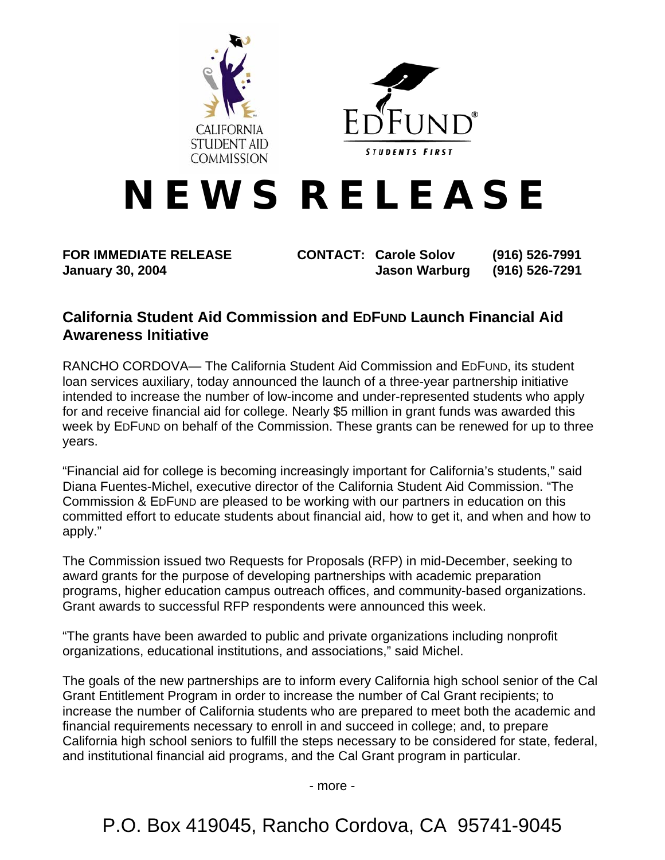



# **N E W S R E L E A S E**

**FOR IMMEDIATE RELEASE CONTACT: Carole Solov (916) 526-7991 January 30, 2004 Jason Warburg (916) 526-7291** 

# **California Student Aid Commission and EDFUND Launch Financial Aid Awareness Initiative**

RANCHO CORDOVA— The California Student Aid Commission and EDFUND, its student loan services auxiliary, today announced the launch of a three-year partnership initiative intended to increase the number of low-income and under-represented students who apply for and receive financial aid for college. Nearly \$5 million in grant funds was awarded this week by EDFUND on behalf of the Commission. These grants can be renewed for up to three years.

"Financial aid for college is becoming increasingly important for California's students," said Diana Fuentes-Michel, executive director of the California Student Aid Commission. "The Commission & EDFUND are pleased to be working with our partners in education on this committed effort to educate students about financial aid, how to get it, and when and how to apply."

The Commission issued two Requests for Proposals (RFP) in mid-December, seeking to award grants for the purpose of developing partnerships with academic preparation programs, higher education campus outreach offices, and community-based organizations. Grant awards to successful RFP respondents were announced this week.

"The grants have been awarded to public and private organizations including nonprofit organizations, educational institutions, and associations," said Michel.

The goals of the new partnerships are to inform every California high school senior of the Cal Grant Entitlement Program in order to increase the number of Cal Grant recipients; to increase the number of California students who are prepared to meet both the academic and financial requirements necessary to enroll in and succeed in college; and, to prepare California high school seniors to fulfill the steps necessary to be considered for state, federal, and institutional financial aid programs, and the Cal Grant program in particular.

- more -

P.O. Box 419045, Rancho Cordova, CA 95741-9045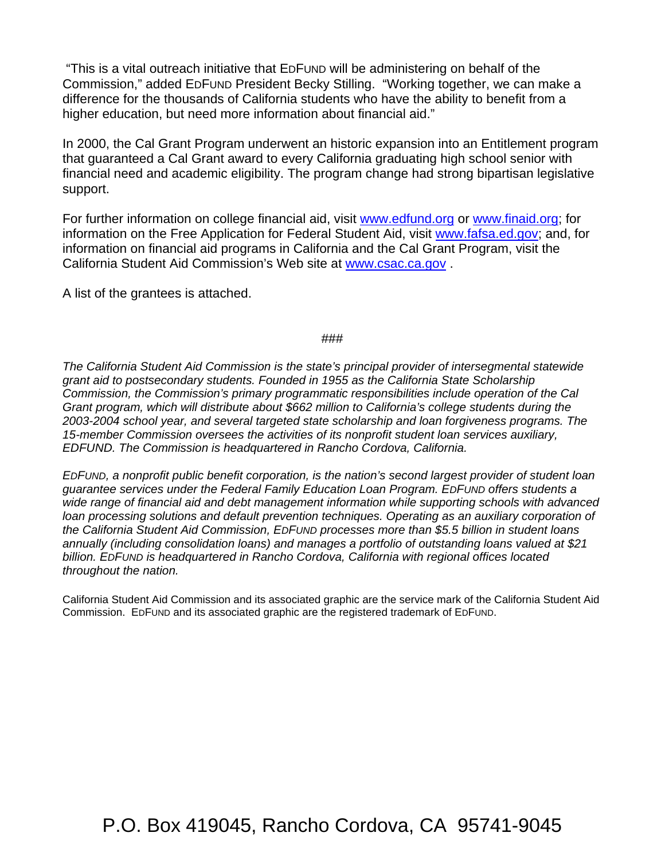"This is a vital outreach initiative that EDFUND will be administering on behalf of the Commission," added EDFUND President Becky Stilling. "Working together, we can make a difference for the thousands of California students who have the ability to benefit from a higher education, but need more information about financial aid."

In 2000, the Cal Grant Program underwent an historic expansion into an Entitlement program that guaranteed a Cal Grant award to every California graduating high school senior with financial need and academic eligibility. The program change had strong bipartisan legislative support.

For further information on college financial aid, visit [www.edfund.org](http://www.edfund.org/) or [www.finaid.org](http://www.finaid.com/); for information on the Free Application for Federal Student Aid, visit [www.fafsa.ed.gov;](http://www.fafsa.ed.gov/) and, for information on financial aid programs in California and the Cal Grant Program, visit the California Student Aid Commission's Web site at [www.csac.ca.gov](http://www.csac.ca.gov/) .

A list of the grantees is attached.

#### ###

*The California Student Aid Commission is the state's principal provider of intersegmental statewide grant aid to postsecondary students. Founded in 1955 as the California State Scholarship Commission, the Commission's primary programmatic responsibilities include operation of the Cal Grant program, which will distribute about \$662 million to California's college students during the 2003-2004 school year, and several targeted state scholarship and loan forgiveness programs. The 15-member Commission oversees the activities of its nonprofit student loan services auxiliary, EDFUND. The Commission is headquartered in Rancho Cordova, California.*

*EDFUND, a nonprofit public benefit corporation, is the nation's second largest provider of student loan guarantee services under the Federal Family Education Loan Program. EDFUND offers students a wide range of financial aid and debt management information while supporting schools with advanced loan processing solutions and default prevention techniques. Operating as an auxiliary corporation of the California Student Aid Commission, EDFUND processes more than \$5.5 billion in student loans annually (including consolidation loans) and manages a portfolio of outstanding loans valued at \$21 billion. EDFUND is headquartered in Rancho Cordova, California with regional offices located throughout the nation.* 

California Student Aid Commission and its associated graphic are the service mark of the California Student Aid Commission. EDFUND and its associated graphic are the registered trademark of EDFUND.